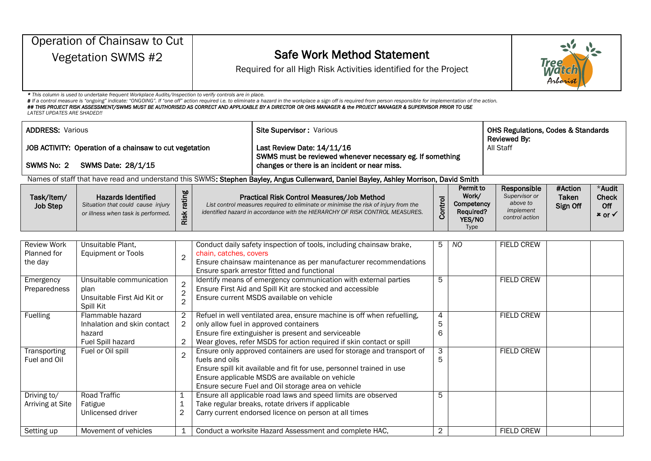|                                              | Operation of Chainsaw to Cut                                                                             |                                       |                        |                                                                                                                                                                                                                                                                                                                                                                                      |                |                                                                               |                                                                         |                               |                                         |  |  |
|----------------------------------------------|----------------------------------------------------------------------------------------------------------|---------------------------------------|------------------------|--------------------------------------------------------------------------------------------------------------------------------------------------------------------------------------------------------------------------------------------------------------------------------------------------------------------------------------------------------------------------------------|----------------|-------------------------------------------------------------------------------|-------------------------------------------------------------------------|-------------------------------|-----------------------------------------|--|--|
| Vegetation SWMS #2                           |                                                                                                          |                                       |                        | <b>Safe Work Method Statement</b>                                                                                                                                                                                                                                                                                                                                                    |                |                                                                               |                                                                         |                               |                                         |  |  |
|                                              |                                                                                                          |                                       |                        | Required for all High Risk Activities identified for the Project                                                                                                                                                                                                                                                                                                                     |                |                                                                               |                                                                         | Tree<br><i>Mata</i><br>Arbori |                                         |  |  |
| <b>LATEST UPDATES ARE SHADED!!</b>           | * This column is used to undertake frequent Workplace Audits/Inspection to verify controls are in place. |                                       |                        | # If a control measure is "ongoing" indicate: "ONGOING". If "one off" action required i.e. to eliminate a hazard in the workplace a sign off is required from person responsible for implementation of the action.<br>## THIS PROJECT RISK ASSESSMENT/SWMS MUST BE AUTHORISED AS CORRECT AND APPLICABLE BY A DIRECTOR OR OHS MANAGER & the PROJECT MANAGER & SUPERVISOR PRIOR TO USE |                |                                                                               |                                                                         |                               |                                         |  |  |
| <b>ADDRESS: Various</b>                      |                                                                                                          |                                       |                        | Site Supervisor: Various                                                                                                                                                                                                                                                                                                                                                             |                |                                                                               | <b>OHS Regulations, Codes &amp; Standards</b><br>Reviewed By:           |                               |                                         |  |  |
|                                              | JOB ACTIVITY: Operation of a chainsaw to cut vegetation                                                  |                                       |                        | Last Review Date: 14/11/16                                                                                                                                                                                                                                                                                                                                                           |                |                                                                               | All Staff                                                               |                               |                                         |  |  |
| SWMS No: 2                                   | SWMS Date: 28/1/15                                                                                       |                                       |                        | SWMS must be reviewed whenever necessary eg. If something<br>changes or there is an incident or near miss.                                                                                                                                                                                                                                                                           |                |                                                                               |                                                                         |                               |                                         |  |  |
|                                              |                                                                                                          |                                       |                        | Names of staff that have read and understand this SWMS: Stephen Bayley, Angus Cullenward, Daniel Bayley, Ashley Morrison, David Smith                                                                                                                                                                                                                                                |                |                                                                               |                                                                         |                               |                                         |  |  |
| Task/Item/<br><b>Job Step</b>                | <b>Hazards Identified</b><br>Situation that could cause injury<br>or illness when task is performed.     | rating<br>Risk                        |                        | Practical Risk Control Measures/Job Method<br>List control measures required to eliminate or minimise the risk of injury from the<br>identified hazard in accordance with the HIERARCHY OF RISK CONTROL MEASURES.                                                                                                                                                                    | Control        | Permit to<br>Work/<br>Competency<br><b>Required?</b><br>YES/NO<br><b>Type</b> | Responsible<br>Supervisor or<br>above to<br>implement<br>control action | #Action<br>Taken<br>Sign Off  | *Audit<br><b>Check</b><br>Off<br>× or √ |  |  |
|                                              |                                                                                                          |                                       |                        |                                                                                                                                                                                                                                                                                                                                                                                      |                |                                                                               |                                                                         |                               |                                         |  |  |
| <b>Review Work</b><br>Planned for<br>the day | Unsuitable Plant,<br><b>Equipment or Tools</b>                                                           | $\overline{2}$                        | chain, catches, covers | Conduct daily safety inspection of tools, including chainsaw brake,<br>Ensure chainsaw maintenance as per manufacturer recommendations<br>Ensure spark arrestor fitted and functional                                                                                                                                                                                                | 5              | <b>NO</b>                                                                     | <b>FIELD CREW</b>                                                       |                               |                                         |  |  |
| Emergency<br>Preparedness                    | Unsuitable communication<br>plan<br>Unsuitable First Aid Kit or<br>Spill Kit                             | $\overline{2}$<br>$\overline{2}$      |                        | Identify means of emergency communication with external parties<br>Ensure First Aid and Spill Kit are stocked and accessible<br>Ensure current MSDS available on vehicle                                                                                                                                                                                                             |                |                                                                               | <b>FIELD CREW</b>                                                       |                               |                                         |  |  |
| Fuelling                                     | Flammable hazard<br>Inhalation and skin contact<br>hazard<br>Fuel Spill hazard                           | 2<br>$\overline{2}$<br>$\overline{c}$ |                        | Refuel in well ventilated area, ensure machine is off when refuelling,<br>only allow fuel in approved containers<br>Ensure fire extinguisher is present and serviceable<br>Wear gloves, refer MSDS for action required if skin contact or spill                                                                                                                                      | 4<br>5<br>6    |                                                                               | <b>FIELD CREW</b>                                                       |                               |                                         |  |  |
| Transporting<br>Fuel and Oil                 | Fuel or Oil spill                                                                                        | $\overline{2}$                        | fuels and oils         | Ensure only approved containers are used for storage and transport of<br>Ensure spill kit available and fit for use, personnel trained in use<br>Ensure applicable MSDS are available on vehicle<br>Ensure secure Fuel and Oil storage area on vehicle                                                                                                                               | 3<br>5         |                                                                               | <b>FIELD CREW</b>                                                       |                               |                                         |  |  |
| Driving to/<br>Arriving at Site              | <b>Road Traffic</b><br>Fatigue<br>Unlicensed driver                                                      | 1<br>1<br>2                           |                        | Ensure all applicable road laws and speed limits are observed<br>Take regular breaks, rotate drivers if applicable<br>Carry current endorsed licence on person at all times                                                                                                                                                                                                          | 5              |                                                                               |                                                                         |                               |                                         |  |  |
| Setting up                                   | Movement of vehicles                                                                                     | 1                                     |                        | Conduct a worksite Hazard Assessment and complete HAC,                                                                                                                                                                                                                                                                                                                               | $\overline{2}$ |                                                                               | <b>FIELD CREW</b>                                                       |                               |                                         |  |  |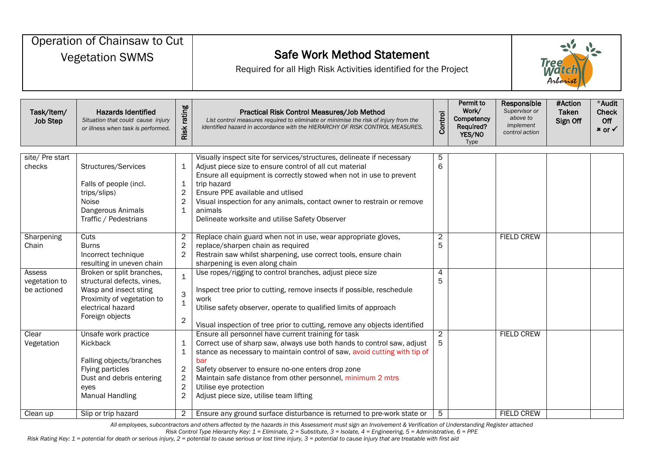| Operation of Chainsaw to Cut<br><b>Vegetation SWMS</b> |                                                                                                                                                        |                                                                                               | <b>Safe Work Method Statement</b><br>Required for all High Risk Activities identified for the Project                                                                                                                                                                                                                                                                                                      |                     |                                                                        |  |                                                                         | <b>Tree</b><br><b>Match</b><br>Arborist |                                               |  |  |
|--------------------------------------------------------|--------------------------------------------------------------------------------------------------------------------------------------------------------|-----------------------------------------------------------------------------------------------|------------------------------------------------------------------------------------------------------------------------------------------------------------------------------------------------------------------------------------------------------------------------------------------------------------------------------------------------------------------------------------------------------------|---------------------|------------------------------------------------------------------------|--|-------------------------------------------------------------------------|-----------------------------------------|-----------------------------------------------|--|--|
| Task/Item/<br><b>Job Step</b>                          | <b>Hazards Identified</b><br>Situation that could cause injury<br>or illness when task is performed.                                                   | Risk rating                                                                                   | Practical Risk Control Measures/Job Method<br>List control measures required to eliminate or minimise the risk of injury from the<br>identified hazard in accordance with the HIERARCHY OF RISK CONTROL MEASURES.                                                                                                                                                                                          | Control             | <b>Permit to</b><br>Work/<br>Competency<br>Required?<br>YES/NO<br>Type |  | Responsible<br>Supervisor or<br>above to<br>implement<br>control action | #Action<br><b>Taken</b><br>Sign Off     | *Audit<br>Check<br>Off<br>$x$ or $\checkmark$ |  |  |
| site/ Pre start<br>checks                              | Structures/Services<br>Falls of people (incl.<br>trips/slips)<br>Noise<br>Dangerous Animals<br>Traffic / Pedestrians                                   | 1<br>$\mathbf 1$<br>$\overline{c}$<br>$\mathbf{2}$<br>$\mathbf 1$                             | Visually inspect site for services/structures, delineate if necessary<br>Adjust piece size to ensure control of all cut material<br>Ensure all equipment is correctly stowed when not in use to prevent<br>trip hazard<br>Ensure PPE available and utlised<br>Visual inspection for any animals, contact owner to restrain or remove<br>animals<br>Delineate worksite and utilise Safety Observer          | 5<br>6              |                                                                        |  |                                                                         |                                         |                                               |  |  |
| Sharpening<br>Chain                                    | <b>Cuts</b><br><b>Burns</b><br>Incorrect technique<br>resulting in uneven chain                                                                        | $\overline{\mathbf{c}}$<br>$\overline{c}$<br>$\sqrt{2}$                                       | Replace chain guard when not in use, wear appropriate gloves,<br>replace/sharpen chain as required<br>Restrain saw whilst sharpening, use correct tools, ensure chain<br>sharpening is even along chain                                                                                                                                                                                                    | 2<br>5              |                                                                        |  | <b>FIELD CREW</b>                                                       |                                         |                                               |  |  |
| Assess<br>vegetation to<br>be actioned                 | Broken or split branches,<br>structural defects, vines,<br>Wasp and insect sting<br>Proximity of vegetation to<br>electrical hazard<br>Foreign objects | $\mathbf 1$<br>3<br>$\mathbf 1$<br>$\overline{c}$                                             | Use ropes/rigging to control branches, adjust piece size<br>Inspect tree prior to cutting, remove insects if possible, reschedule<br>work<br>Utilise safety observer, operate to qualified limits of approach<br>Visual inspection of tree prior to cutting, remove any objects identified                                                                                                                 | 4<br>5              |                                                                        |  |                                                                         |                                         |                                               |  |  |
| Clear<br>Vegetation                                    | Unsafe work practice<br>Kickback<br>Falling objects/branches<br>Flying particles<br>Dust and debris entering<br>eyes<br><b>Manual Handling</b>         | 1<br>$\mathbf 1$<br>$\overline{\mathbf{c}}$<br>$\sqrt{2}$<br>$\overline{c}$<br>$\overline{c}$ | Ensure all personnel have current training for task<br>Correct use of sharp saw, always use both hands to control saw, adjust<br>stance as necessary to maintain control of saw, avoid cutting with tip of<br>bar<br>Safety observer to ensure no-one enters drop zone<br>Maintain safe distance from other personnel, minimum 2 mtrs<br>Utilise eye protection<br>Adjust piece size, utilise team lifting | $\overline{2}$<br>5 |                                                                        |  | <b>FIELD CREW</b>                                                       |                                         |                                               |  |  |
| Clean up                                               | Slip or trip hazard                                                                                                                                    | $\overline{2}$                                                                                | Ensure any ground surface disturbance is returned to pre-work state or                                                                                                                                                                                                                                                                                                                                     | 5                   |                                                                        |  | <b>FIELD CREW</b>                                                       |                                         |                                               |  |  |

*All employees, subcontractors and others affected by the hazards in this Assessment must sign an Involvement & Verification of Understanding Register attached*

*Risk Control Type Hierarchy Key: 1 = Eliminate, 2 = Substitute, 3 = Isolate, 4 = Engineering, 5 = Administrative, 6 = PPE*

*Risk Rating Key: 1 = potential for death or serious injury, 2 = potential to cause serious or lost time injury, 3 = potential to cause injury that are treatable with first aid*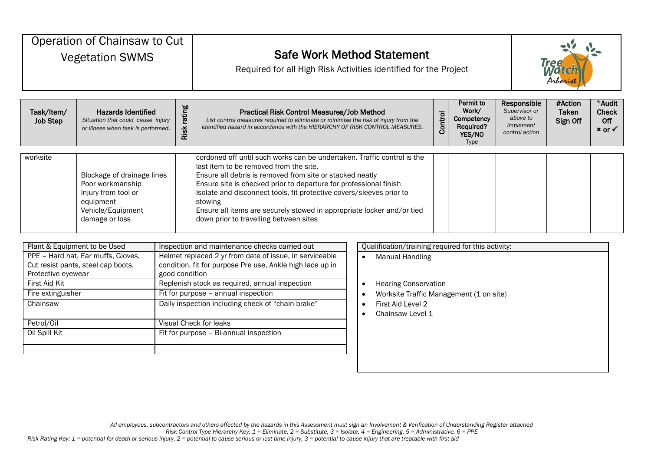| Operation of Chainsaw to Cut<br><b>Vegetation SWMS</b> |                                                                                                                           |                | <b>Safe Work Method Statement</b><br>Required for all High Risk Activities identified for the Project                                                                                                                                                                                                                                                                                                                                                     |  |  |  |  | Tree<br>Wal<br>Arboris              |                                                    |  |  |
|--------------------------------------------------------|---------------------------------------------------------------------------------------------------------------------------|----------------|-----------------------------------------------------------------------------------------------------------------------------------------------------------------------------------------------------------------------------------------------------------------------------------------------------------------------------------------------------------------------------------------------------------------------------------------------------------|--|--|--|--|-------------------------------------|----------------------------------------------------|--|--|
| Task/Item/<br><b>Job Step</b>                          | <b>Hazards Identified</b><br>Situation that could cause injury<br>or illness when task is performed.                      | rating<br>Risk | Permit to<br>Responsible<br>Work/<br>Supervisor or<br>Practical Risk Control Measures/Job Method<br>Control<br>above to<br>Competency<br>List control measures required to eliminate or minimise the risk of injury from the<br>implement<br>identified hazard in accordance with the HIERARCHY OF RISK CONTROL MEASURES.<br><b>Required?</b><br>control action<br>YES/NO<br><b>Type</b>                                                                  |  |  |  |  | #Action<br><b>Taken</b><br>Sign Off | *Audit<br><b>Check</b><br>Off<br>$x \text{ or } x$ |  |  |
| worksite                                               | Blockage of drainage lines<br>Poor workmanship<br>Injury from tool or<br>equipment<br>Vehicle/Equipment<br>damage or loss |                | cordoned off until such works can be undertaken. Traffic control is the<br>last item to be removed from the site.<br>Ensure all debris is removed from site or stacked neatly<br>Ensure site is checked prior to departure for professional finish<br>Isolate and disconnect tools, fit protective covers/sleeves prior to<br>stowing<br>Ensure all items are securely stowed in appropriate locker and/or tied<br>down prior to travelling between sites |  |  |  |  |                                     |                                                    |  |  |
| Plant & Equipment to be Used                           | DDE Hard hat Farmuffe Claves                                                                                              |                | Qualification/training required for this activity:<br>Inspection and maintenance checks carried out<br>Holmot rapigood 2 vs from data of issue in senviceable<br>المستقلة ويستلط المتنبذ والراز                                                                                                                                                                                                                                                           |  |  |  |  |                                     |                                                    |  |  |

| Figure & Equipment to be used                                                                  | inspection and maintenance checks carried out                                                                                          | Qualificationly training required for this activit |
|------------------------------------------------------------------------------------------------|----------------------------------------------------------------------------------------------------------------------------------------|----------------------------------------------------|
| PPE - Hard hat, Ear muffs, Gloves,<br>Cut resist pants, steel cap boots,<br>Protective eyewear | Helmet replaced 2 yr from date of issue, In serviceable<br>condition, fit for purpose Pre use, Ankle high lace up in<br>good condition | Manual Handling                                    |
| First Aid Kit                                                                                  | Replenish stock as required, annual inspection                                                                                         | <b>Hearing Conservation</b>                        |
| Fire extinguisher                                                                              | Fit for purpose - annual inspection                                                                                                    | Worksite Traffic Management (1 on site)            |
| Chainsaw                                                                                       | Daily inspection including check of "chain brake"                                                                                      | First Aid Level 2<br>Chainsaw Level 1              |
| Petrol/Oil                                                                                     | Visual Check for leaks                                                                                                                 |                                                    |
| Oil Spill Kit                                                                                  | Fit for purpose - Bi-annual inspection                                                                                                 |                                                    |
|                                                                                                |                                                                                                                                        |                                                    |

|           | Qualification/training required for this activity:                                                              |
|-----------|-----------------------------------------------------------------------------------------------------------------|
|           | Manual Handling                                                                                                 |
| $\bullet$ | <b>Hearing Conservation</b><br>Worksite Traffic Management (1 on site)<br>First Aid Level 2<br>Chainsaw Level 1 |

*Risk Control Type Hierarchy Key: 1 = Eliminate, 2 = Substitute, 3 = Isolate, 4 = Engineering, 5 = Administrative, 6 = PPE*

*Risk Rating Key: 1 = potential for death or serious injury, 2 = potential to cause serious or lost time injury, 3 = potential to cause injury that are treatable with first aid*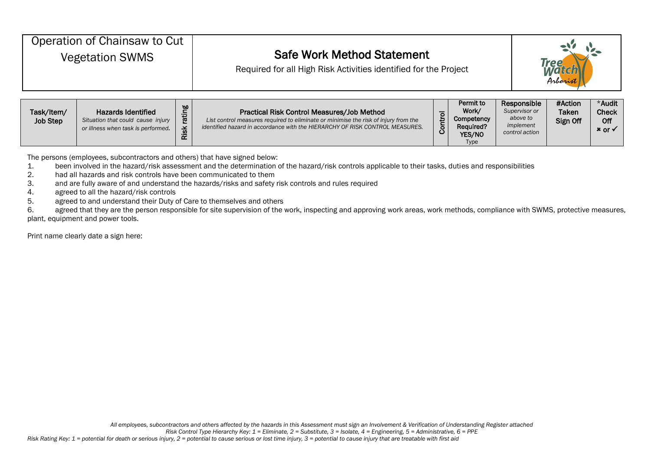| Operation of Chainsaw to Cut<br><b>Vegetation SWMS</b> |                           |     | <b>Safe Work Method Statement</b><br>Required for all High Risk Activities identified for the Project |    | Tree<br>Arborist   |                              |                         |                        |
|--------------------------------------------------------|---------------------------|-----|-------------------------------------------------------------------------------------------------------|----|--------------------|------------------------------|-------------------------|------------------------|
|                                                        |                           |     |                                                                                                       |    |                    |                              |                         |                        |
| Task/Item/                                             | <b>Hazards Identified</b> | ing | <b>Practical Risk Control Measures/Job Method</b>                                                     | ਨ। | Permit to<br>Work/ | Responsible<br>Supervisor or | #Action<br><b>Taken</b> | *Audit<br><b>Check</b> |

| Task/Item/<br><b>Job Step</b> | <b>Hazards Identified</b><br>Situation that could cause injury<br>or illness when task is performed. | $\omega$<br>ಕ<br>$\propto$<br>$\propto$ | <b>Practical Risk Control Measures/Job Method</b><br>List control measures required to eliminate or minimise the risk of injury from the<br>identified hazard in accordance with the HIERARCHY OF RISK CONTROL MEASURES. | ō | י סוווות גיט<br>Work/<br>Competency<br><b>Required?</b><br>YES/NO<br>Type | <b>INGSPOLISINIG</b><br>Supervisor or<br>above to<br>implement<br>control action | $\pi$ AGUULL<br><b>Taken</b><br>Sign Off | nuulu<br><b>Check</b><br>Off<br>$x$ or $\checkmark$ |
|-------------------------------|------------------------------------------------------------------------------------------------------|-----------------------------------------|--------------------------------------------------------------------------------------------------------------------------------------------------------------------------------------------------------------------------|---|---------------------------------------------------------------------------|----------------------------------------------------------------------------------|------------------------------------------|-----------------------------------------------------|
|-------------------------------|------------------------------------------------------------------------------------------------------|-----------------------------------------|--------------------------------------------------------------------------------------------------------------------------------------------------------------------------------------------------------------------------|---|---------------------------------------------------------------------------|----------------------------------------------------------------------------------|------------------------------------------|-----------------------------------------------------|

The persons (employees, subcontractors and others) that have signed below:

1. been involved in the hazard/risk assessment and the determination of the hazard/risk controls applicable to their tasks, duties and responsibilities<br>2. had all hazards and risk controls have been communicated to them

- had all hazards and risk controls have been communicated to them
- 3. and are fully aware of and understand the hazards/risks and safety risk controls and rules required
- 4. agreed to all the hazard/risk controls
- 5. agreed to and understand their Duty of Care to themselves and others

6. agreed that they are the person responsible for site supervision of the work, inspecting and approving work areas, work methods, compliance with SWMS, protective measures, plant, equipment and power tools.

Print name clearly date a sign here: